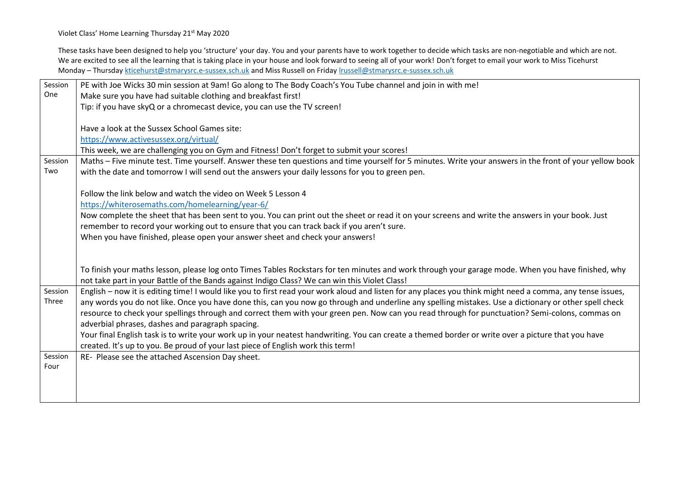Violet Class' Home Learning Thursday 21<sup>st</sup> May 2020

These tasks have been designed to help you 'structure' your day. You and your parents have to work together to decide which tasks are non-negotiable and which are not. We are excited to see all the learning that is taking place in your house and look forward to seeing all of your work! Don't forget to email your work to Miss Ticehurst Monday – Thursday [kticehurst@stmarysrc.e-sussex.sch.uk](mailto:kticehurst@stmarysrc.e-sussex.sch.uk) and Miss Russell on Friday [lrussell@stmarysrc.e-sussex.sch.uk](mailto:lrussell@stmarysrc.e-sussex.sch.uk)

| Session | PE with Joe Wicks 30 min session at 9am! Go along to The Body Coach's You Tube channel and join in with me!                                                |
|---------|------------------------------------------------------------------------------------------------------------------------------------------------------------|
| One     | Make sure you have had suitable clothing and breakfast first!                                                                                              |
|         | Tip: if you have skyQ or a chromecast device, you can use the TV screen!                                                                                   |
|         |                                                                                                                                                            |
|         | Have a look at the Sussex School Games site:                                                                                                               |
|         | https://www.activesussex.org/virtual/                                                                                                                      |
|         | This week, we are challenging you on Gym and Fitness! Don't forget to submit your scores!                                                                  |
| Session | Maths - Five minute test. Time yourself. Answer these ten questions and time yourself for 5 minutes. Write your answers in the front of your yellow book   |
| Two     | with the date and tomorrow I will send out the answers your daily lessons for you to green pen.                                                            |
|         |                                                                                                                                                            |
|         | Follow the link below and watch the video on Week 5 Lesson 4                                                                                               |
|         | https://whiterosemaths.com/homelearning/year-6/                                                                                                            |
|         | Now complete the sheet that has been sent to you. You can print out the sheet or read it on your screens and write the answers in your book. Just          |
|         | remember to record your working out to ensure that you can track back if you aren't sure.                                                                  |
|         | When you have finished, please open your answer sheet and check your answers!                                                                              |
|         |                                                                                                                                                            |
|         |                                                                                                                                                            |
|         | To finish your maths lesson, please log onto Times Tables Rockstars for ten minutes and work through your garage mode. When you have finished, why         |
|         | not take part in your Battle of the Bands against Indigo Class? We can win this Violet Class!                                                              |
| Session | English - now it is editing time! I would like you to first read your work aloud and listen for any places you think might need a comma, any tense issues, |
| Three   | any words you do not like. Once you have done this, can you now go through and underline any spelling mistakes. Use a dictionary or other spell check      |
|         | resource to check your spellings through and correct them with your green pen. Now can you read through for punctuation? Semi-colons, commas on            |
|         | adverbial phrases, dashes and paragraph spacing.                                                                                                           |
|         | Your final English task is to write your work up in your neatest handwriting. You can create a themed border or write over a picture that you have         |
|         | created. It's up to you. Be proud of your last piece of English work this term!                                                                            |
| Session | RE- Please see the attached Ascension Day sheet.                                                                                                           |
| Four    |                                                                                                                                                            |
|         |                                                                                                                                                            |
|         |                                                                                                                                                            |
|         |                                                                                                                                                            |